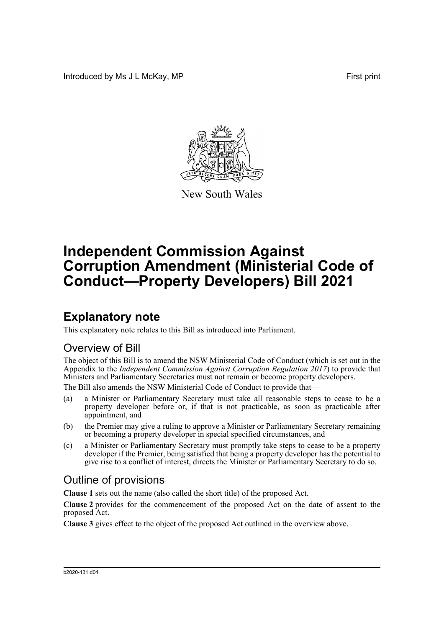Introduced by Ms J L McKay, MP **First** print



New South Wales

# **Independent Commission Against Corruption Amendment (Ministerial Code of Conduct—Property Developers) Bill 2021**

## **Explanatory note**

This explanatory note relates to this Bill as introduced into Parliament.

#### Overview of Bill

The object of this Bill is to amend the NSW Ministerial Code of Conduct (which is set out in the Appendix to the *Independent Commission Against Corruption Regulation 2017*) to provide that Ministers and Parliamentary Secretaries must not remain or become property developers.

The Bill also amends the NSW Ministerial Code of Conduct to provide that—

- (a) a Minister or Parliamentary Secretary must take all reasonable steps to cease to be a property developer before or, if that is not practicable, as soon as practicable after appointment, and
- (b) the Premier may give a ruling to approve a Minister or Parliamentary Secretary remaining or becoming a property developer in special specified circumstances, and
- (c) a Minister or Parliamentary Secretary must promptly take steps to cease to be a property developer if the Premier, being satisfied that being a property developer has the potential to give rise to a conflict of interest, directs the Minister or Parliamentary Secretary to do so.

#### Outline of provisions

**Clause 1** sets out the name (also called the short title) of the proposed Act.

**Clause 2** provides for the commencement of the proposed Act on the date of assent to the proposed Act.

**Clause 3** gives effect to the object of the proposed Act outlined in the overview above.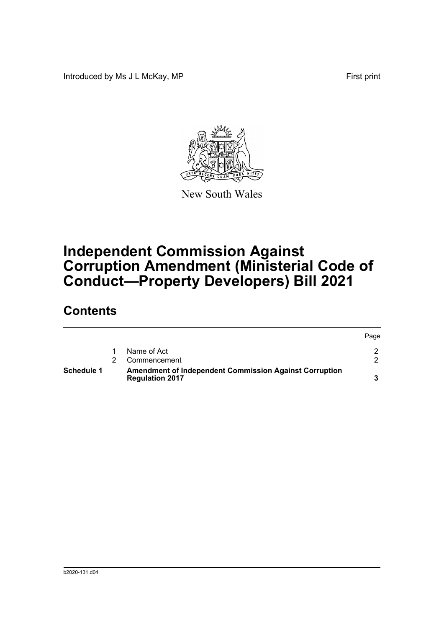Introduced by Ms J L McKay, MP **First** print



New South Wales

## **Independent Commission Against Corruption Amendment (Ministerial Code of Conduct—Property Developers) Bill 2021**

### **Contents**

| <b>Schedule 1</b> | <b>Amendment of Independent Commission Against Corruption</b><br><b>Regulation 2017</b> |              |      |
|-------------------|-----------------------------------------------------------------------------------------|--------------|------|
|                   |                                                                                         | Commencement |      |
|                   |                                                                                         | Name of Act  |      |
|                   |                                                                                         |              | Page |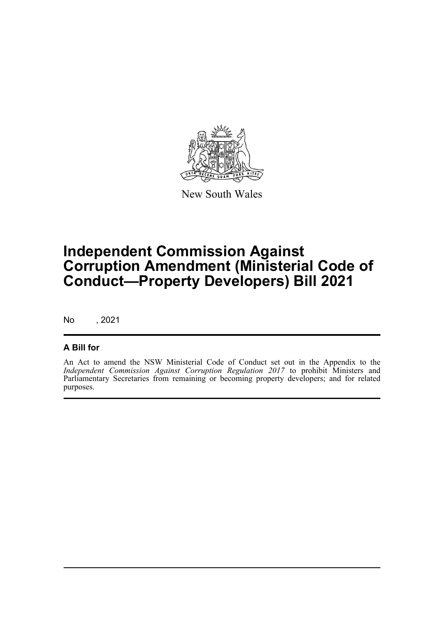

New South Wales

## **Independent Commission Against Corruption Amendment (Ministerial Code of Conduct—Property Developers) Bill 2021**

No , 2021

#### **A Bill for**

An Act to amend the NSW Ministerial Code of Conduct set out in the Appendix to the *Independent Commission Against Corruption Regulation 2017* to prohibit Ministers and Parliamentary Secretaries from remaining or becoming property developers; and for related purposes.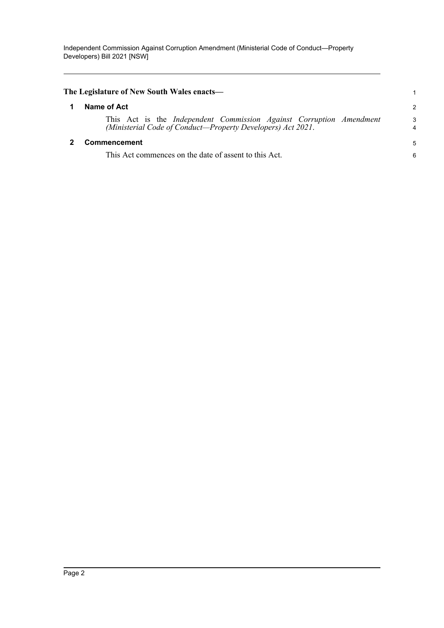<span id="page-3-1"></span><span id="page-3-0"></span>

| The Legislature of New South Wales enacts-                                                                                         |                |
|------------------------------------------------------------------------------------------------------------------------------------|----------------|
| Name of Act                                                                                                                        | $\overline{2}$ |
| This Act is the Independent Commission Against Corruption Amendment<br>(Ministerial Code of Conduct-Property Developers) Act 2021. | 3<br>4         |
| Commencement                                                                                                                       | 5              |
| This Act commences on the date of assent to this Act.                                                                              | 6              |
|                                                                                                                                    |                |